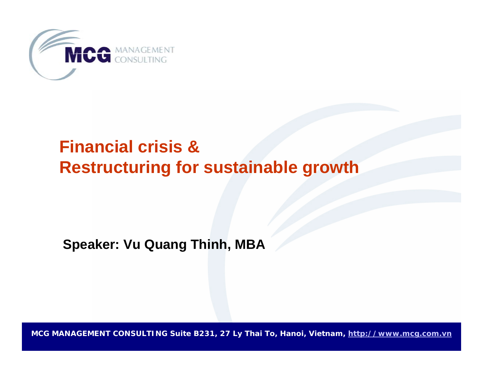

#### **Financial crisis &Restructuring for sustainable growth**

**Speaker: Vu Quang Thinh, MBA**

**MCG MANAGEMENT CONSULTING Suite B231, 27 Ly Thai To, Hanoi, Vietnam, http://www.mcg.com.vn**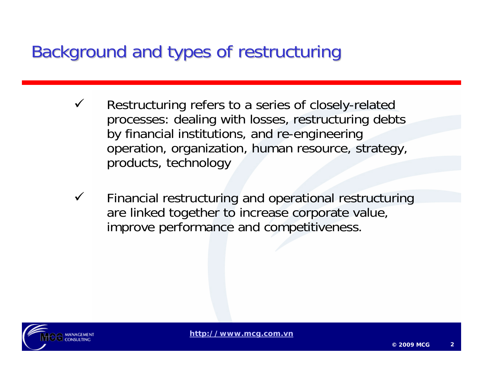### Background and types of restructuring Background and types of restructuring

- $\checkmark$  Restructuring refers to a series of closely-related processes: dealing with losses, restructuring debts by financial institutions, and re-engineering operation, organization, human resource, strategy, products, technology
- $\checkmark$  Financial restructuring and operational restructuring are linked together to increase corporate value, improve performance and competitiveness.

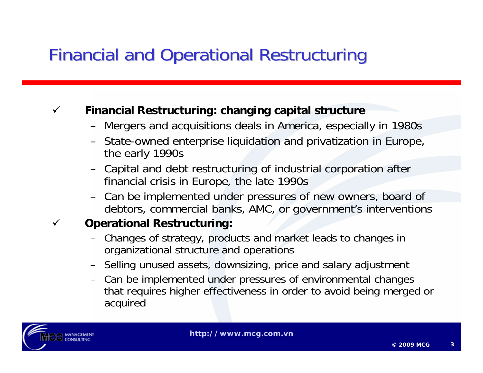## Financial and Operational Restructuring Financial and Operational Restructuring

#### $\checkmark$ **Financial Restructuring: changing capital structure**

- Mergers and acquisitions deals in America, especially in 1980s
- State-owned enterprise liquidation and privatization in Europe, the early 1990s
- Capital and debt restructuring of industrial corporation after financial crisis in Europe, the late 1990s
- Can be implemented under pressures of new owners, board of debtors, commercial banks, AMC, or government's interventions

#### $\checkmark$ **Operational Restructuring:**

- Changes of strategy, products and market leads to changes in organizational structure and operations
- Selling unused assets, downsizing, price and salary adjustment
- Can be implemented under pressures of environmental changes that requires higher effectiveness in order to avoid being merged or acquired

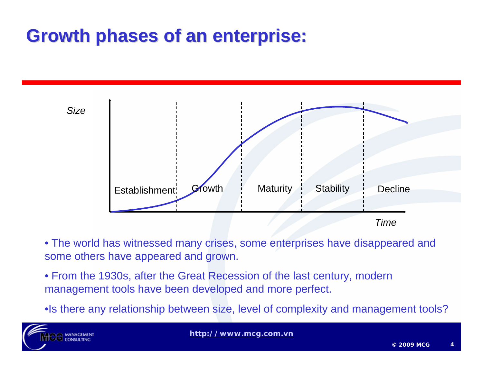### **Growth phases of an enterprise: Growth phases of an enterprise:**



• The world has witnessed many crises, some enterprises have disappeared and some others have appeared and grown.

• From the 1930s, after the Great Recession of the last century, modern management tools have been developed and more perfect.

•Is there any relationship between size, level of complexity and management tools?

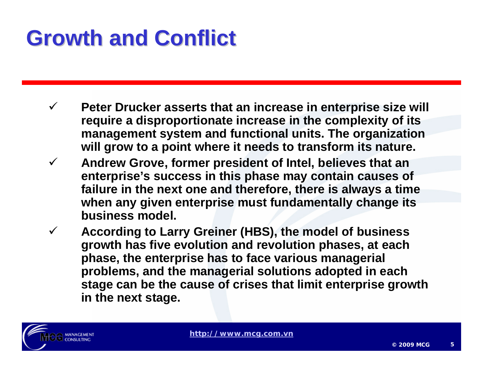# **Growth and Conflict Growth and Conflict**

- $\checkmark$  **Peter Drucker asserts that an increase in enterprise size will require a disproportionate increase in the complexity of its management system and functional units. The organization will grow to a point where it needs to transform its nature.**
- $\checkmark$  **Andrew Grove, former president of Intel, believes that an enterprise's success in this phase may contain causes of failure in the next one and therefore, there is always a time when any given enterprise must fundamentally change its business model.**
- $\checkmark$  **According to Larry Greiner (HBS), the model of business growth has five evolution and revolution phases, at each phase, the enterprise has to face various managerial problems, and the managerial solutions adopted in each stage can be the cause of crises that limit enterprise growth in the next stage.**

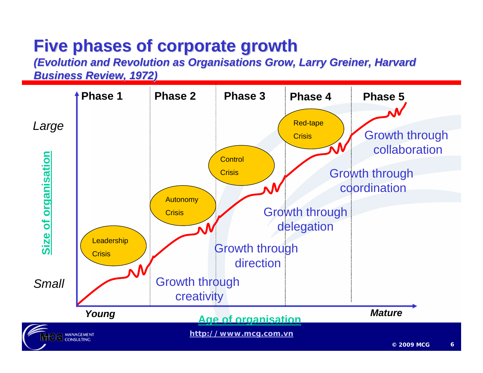#### **Five phases of corporate growth Five phases of corporate growth**

*(Evolution and Revolution as (Evolution and Revolution as Organisations Organisations Grow, Larry Greiner, Harvard Grow, Larry Greiner, Harvard Business Review, 1972) Business Review, 1972)*

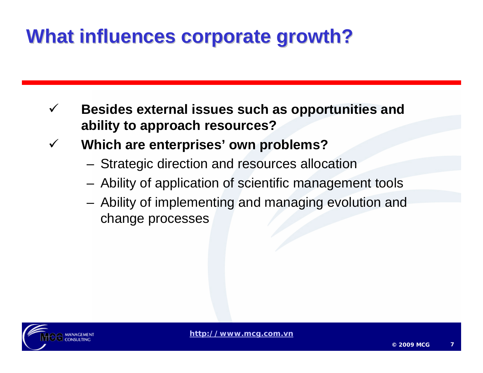## **What influences corporate growth?**

- $\checkmark$  **Besides external issues such as opportunities and ability to approach resources?**
- $\checkmark$  **Which are enterprises' own problems?** 
	- –Strategic direction and resources allocation
	- **Links of the Company** Ability of application of scientific management tools
	- **Links of the Company**  Ability of implementing and managing evolution and change processes

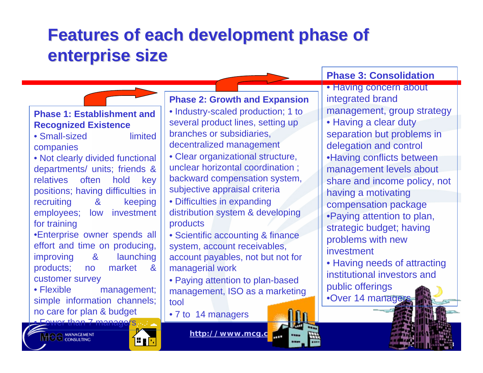#### **Features of each development phase of enterprise size enterprise size**

**Phase 1: Establishment and Recognized Existence** • Small-sized limited companies • Not clearly divided functional departments/ units; friends & relatives often hold key positions; having difficulties in recruiting & keeping employees; low investment for training products •Enterprise owner spends all effort and time on producing, improving & launching products; no market & customer survey • Flexible management; simple information channels; toolno care for plan & budget  $MSE$  than  $Z$  manager •<u>in F</u>

#### **Phase 2: Growth and Expansion**

• Industry-scaled production; 1 to several product lines, setting up branches or subsidiaries, decentralized management

• Clear organizational structure, unclear horizontal coordination ; backward compensation system, subjective appraisal criteria

• Difficulties in expanding distribution system & developing

• Scientific accounting & finance system, account receivables, account payables, not but not for managerial work

• Paying attention to plan-based management, ISO as a marketing

• 7 to 14 managers

#### **Phase 3: Consolidation**

• Having concern about integrated brand management, group strategy • Having a clear duty separation but problems in delegation and control •Having conflicts between management levels about share and income policy, not having a motivating compensation package •Paying attention to plan, strategic budget; having problems with new investment

• Having needs of attracting institutional investors and public offerings •Over 14 managers

**©**

 **2009 MCG**

**8**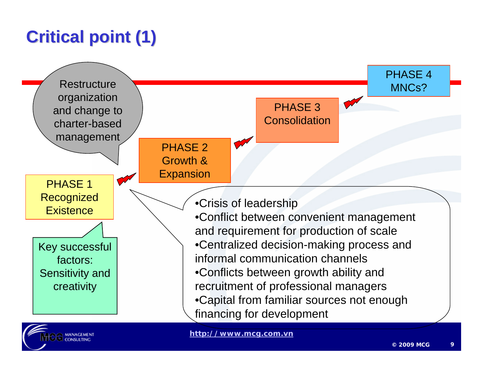## **Critical point (1) Critical point (1)**

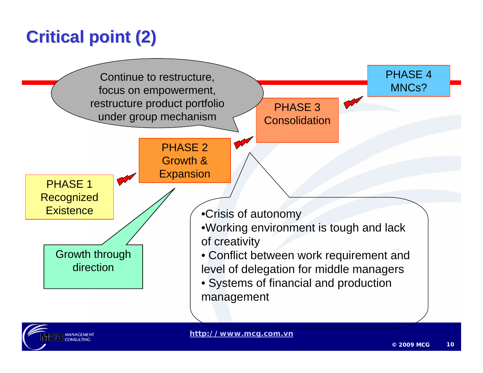### **Critical point (2) Critical point (2)**

MANAGEME

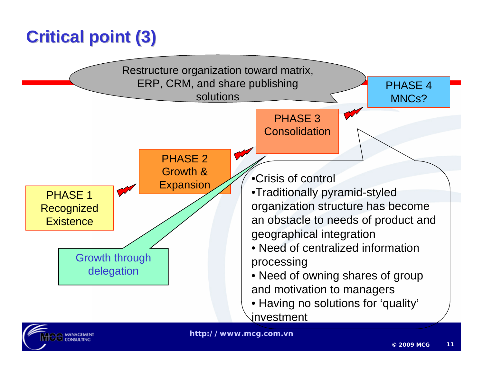#### **Critical point (3) Critical point (3)**

**CONSULTIN** 



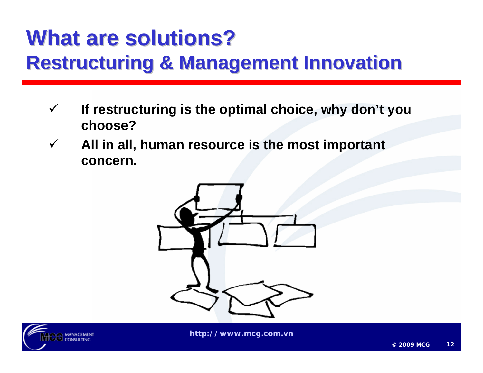## **What are solutions? What are solutions?Restructuring & Management Innovation Restructuring & Management Innovation**

- $\checkmark$  **If restructuring is the optimal choice, why don't you choose?**
- $\checkmark$  **All in all, human resource is the most important concern.**





**http://www.mcg.com.vn**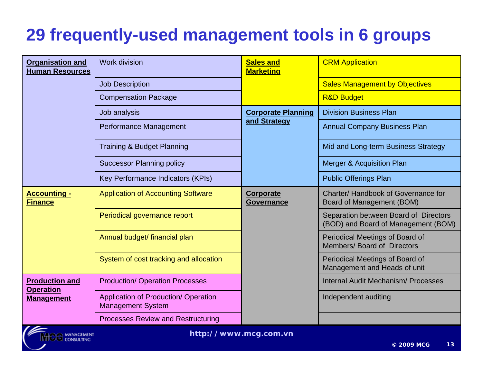#### **29 frequently-used management tools in 6 groups**

| <b>Organisation and</b><br><b>Human Resources</b>              | <b>Work division</b>                                             | <b>Sales and</b><br><b>Marketing</b>      | <b>CRM Application</b>                                                       |
|----------------------------------------------------------------|------------------------------------------------------------------|-------------------------------------------|------------------------------------------------------------------------------|
|                                                                | <b>Job Description</b>                                           |                                           | <b>Sales Management by Objectives</b>                                        |
|                                                                | <b>Compensation Package</b>                                      |                                           | <b>R&amp;D Budget</b>                                                        |
|                                                                | Job analysis                                                     | <b>Corporate Planning</b><br>and Strategy | <b>Division Business Plan</b>                                                |
|                                                                | <b>Performance Management</b>                                    |                                           | <b>Annual Company Business Plan</b>                                          |
|                                                                | <b>Training &amp; Budget Planning</b>                            |                                           | Mid and Long-term Business Strategy                                          |
|                                                                | <b>Successor Planning policy</b>                                 |                                           | <b>Merger &amp; Acquisition Plan</b>                                         |
|                                                                | Key Performance Indicators (KPIs)                                |                                           | <b>Public Offerings Plan</b>                                                 |
| <b>Accounting -</b><br><b>Finance</b>                          | <b>Application of Accounting Software</b>                        | Corporate<br><b>Governance</b>            | Charter/Handbook of Governance for<br>Board of Management (BOM)              |
|                                                                | Periodical governance report                                     |                                           | Separation between Board of Directors<br>(BOD) and Board of Management (BOM) |
|                                                                | Annual budget/ financial plan                                    |                                           | Periodical Meetings of Board of<br>Members/Board of Directors                |
|                                                                | System of cost tracking and allocation                           |                                           | Periodical Meetings of Board of<br>Management and Heads of unit              |
| <b>Production and</b><br><b>Operation</b><br><b>Management</b> | <b>Production/ Operation Processes</b>                           |                                           | Internal Audit Mechanism/ Processes                                          |
|                                                                | Application of Production/ Operation<br><b>Management System</b> |                                           | Independent auditing                                                         |
|                                                                | <b>Processes Review and Restructuring</b>                        |                                           |                                                                              |

**HOO MANAGEMENT** 

**http://www.mcg.com.vn**